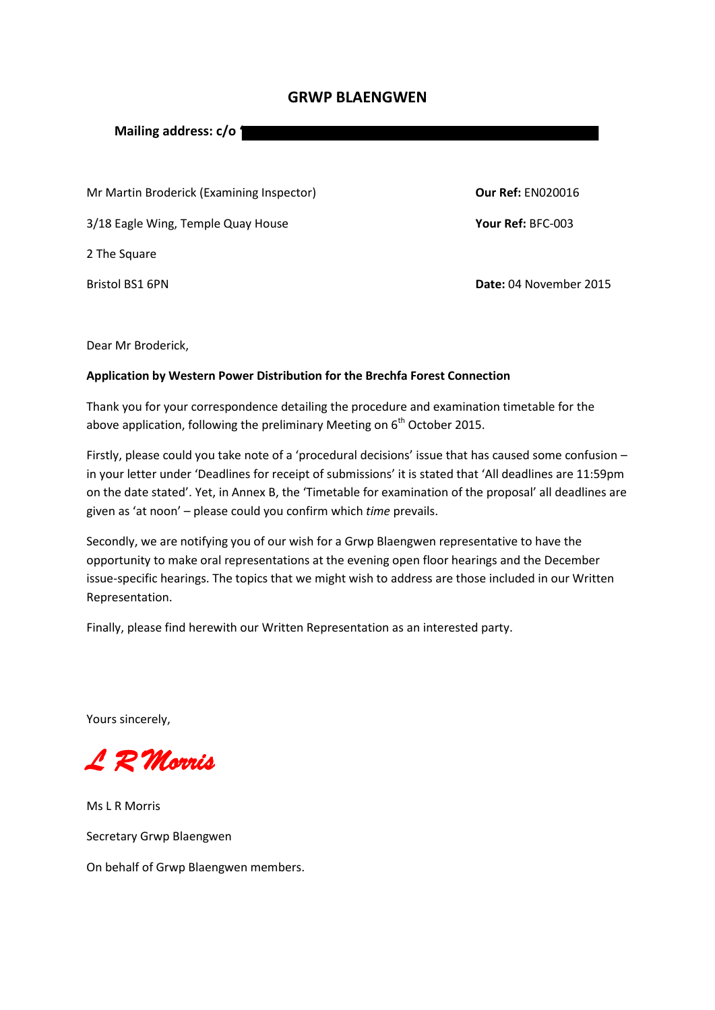# **GRWP BLAENGWEN**

**Mailing address: c/o '**

Mr Martin Broderick (Examining Inspector) **Our Ref:** EN020016

3/18 Eagle Wing, Temple Quay House **Your Ref:** BFC-003

2 The Square

Bristol BS1 6PN **Date:** 04 November 2015

Dear Mr Broderick,

## **Application by Western Power Distribution for the Brechfa Forest Connection**

Thank you for your correspondence detailing the procedure and examination timetable for the above application, following the preliminary Meeting on 6<sup>th</sup> October 2015.

Firstly, please could you take note of a 'procedural decisions' issue that has caused some confusion – in your letter under 'Deadlines for receipt of submissions' it is stated that 'All deadlines are 11:59pm on the date stated'. Yet, in Annex B, the 'Timetable for examination of the proposal' all deadlines are given as 'at noon' – please could you confirm which *time* prevails.

Secondly, we are notifying you of our wish for a Grwp Blaengwen representative to have the opportunity to make oral representations at the evening open floor hearings and the December issue-specific hearings. The topics that we might wish to address are those included in our Written Representation.

Finally, please find herewith our Written Representation as an interested party.

Yours sincerely,

*L R Morris* 

Ms L R Morris Secretary Grwp Blaengwen On behalf of Grwp Blaengwen members.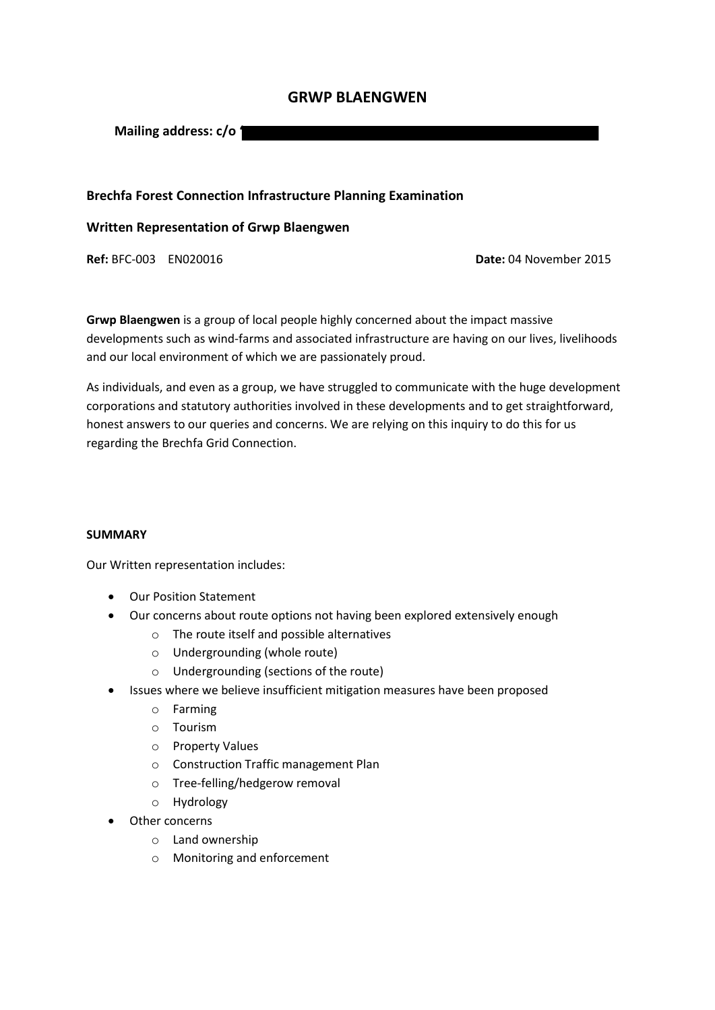# **GRWP BLAENGWEN**

**Mailing address: c/o '**

## **Brechfa Forest Connection Infrastructure Planning Examination**

### **Written Representation of Grwp Blaengwen**

**Ref:** BFC-003 EN020016 **Date:** 04 November 2015

**Grwp Blaengwen** is a group of local people highly concerned about the impact massive developments such as wind-farms and associated infrastructure are having on our lives, livelihoods and our local environment of which we are passionately proud.

As individuals, and even as a group, we have struggled to communicate with the huge development corporations and statutory authorities involved in these developments and to get straightforward, honest answers to our queries and concerns. We are relying on this inquiry to do this for us regarding the Brechfa Grid Connection.

#### **SUMMARY**

Our Written representation includes:

- Our Position Statement
- Our concerns about route options not having been explored extensively enough
	- o The route itself and possible alternatives
	- o Undergrounding (whole route)
	- o Undergrounding (sections of the route)
- Issues where we believe insufficient mitigation measures have been proposed
	- o Farming
	- o Tourism
	- o Property Values
	- o Construction Traffic management Plan
	- o Tree-felling/hedgerow removal
	- o Hydrology
- Other concerns
	- o Land ownership
	- o Monitoring and enforcement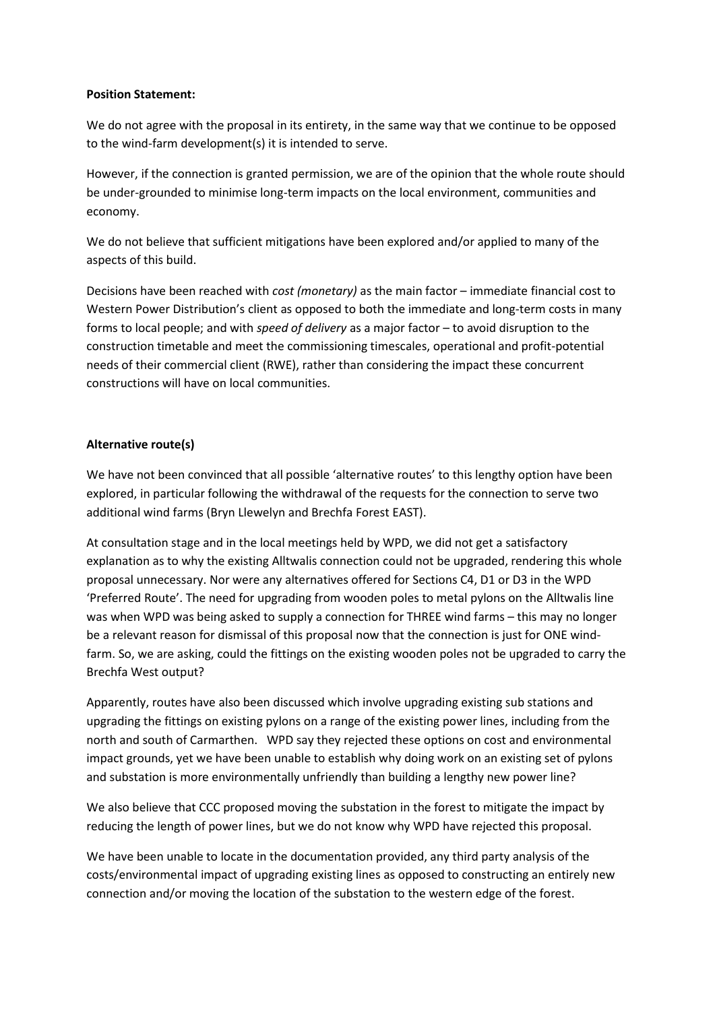### **Position Statement:**

We do not agree with the proposal in its entirety, in the same way that we continue to be opposed to the wind-farm development(s) it is intended to serve.

However, if the connection is granted permission, we are of the opinion that the whole route should be under-grounded to minimise long-term impacts on the local environment, communities and economy.

We do not believe that sufficient mitigations have been explored and/or applied to many of the aspects of this build.

Decisions have been reached with *cost (monetary)* as the main factor – immediate financial cost to Western Power Distribution's client as opposed to both the immediate and long-term costs in many forms to local people; and with *speed of delivery* as a major factor – to avoid disruption to the construction timetable and meet the commissioning timescales, operational and profit-potential needs of their commercial client (RWE), rather than considering the impact these concurrent constructions will have on local communities.

### **Alternative route(s)**

We have not been convinced that all possible 'alternative routes' to this lengthy option have been explored, in particular following the withdrawal of the requests for the connection to serve two additional wind farms (Bryn Llewelyn and Brechfa Forest EAST).

At consultation stage and in the local meetings held by WPD, we did not get a satisfactory explanation as to why the existing Alltwalis connection could not be upgraded, rendering this whole proposal unnecessary. Nor were any alternatives offered for Sections C4, D1 or D3 in the WPD 'Preferred Route'. The need for upgrading from wooden poles to metal pylons on the Alltwalis line was when WPD was being asked to supply a connection for THREE wind farms – this may no longer be a relevant reason for dismissal of this proposal now that the connection is just for ONE windfarm. So, we are asking, could the fittings on the existing wooden poles not be upgraded to carry the Brechfa West output?

Apparently, routes have also been discussed which involve upgrading existing sub stations and upgrading the fittings on existing pylons on a range of the existing power lines, including from the north and south of Carmarthen. WPD say they rejected these options on cost and environmental impact grounds, yet we have been unable to establish why doing work on an existing set of pylons and substation is more environmentally unfriendly than building a lengthy new power line?

We also believe that CCC proposed moving the substation in the forest to mitigate the impact by reducing the length of power lines, but we do not know why WPD have rejected this proposal.

We have been unable to locate in the documentation provided, any third party analysis of the costs/environmental impact of upgrading existing lines as opposed to constructing an entirely new connection and/or moving the location of the substation to the western edge of the forest.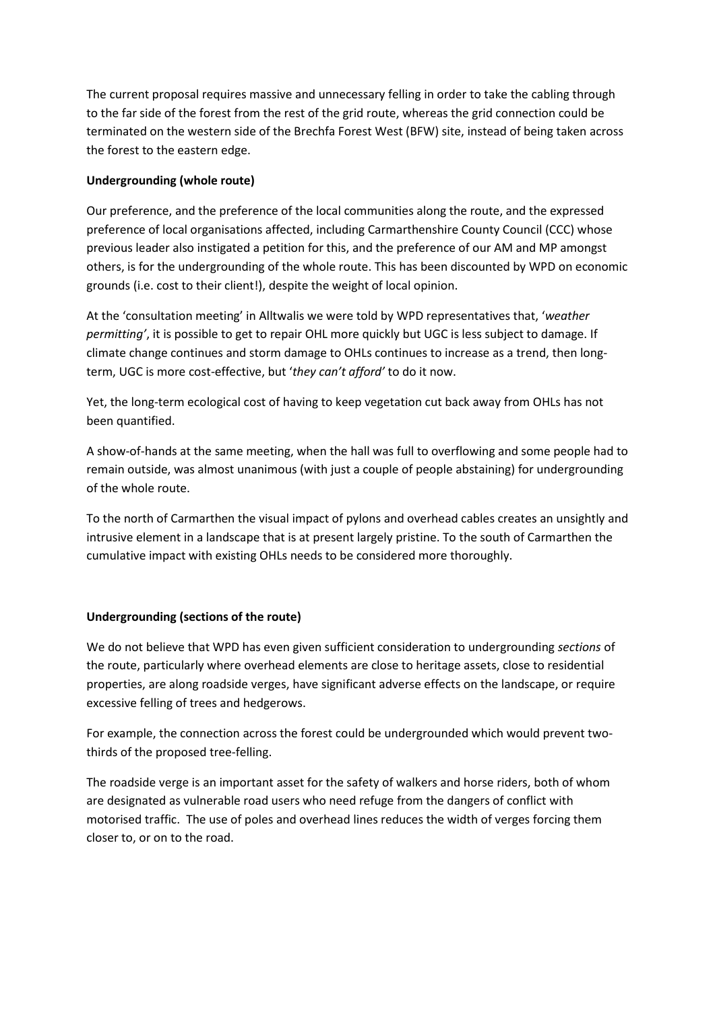The current proposal requires massive and unnecessary felling in order to take the cabling through to the far side of the forest from the rest of the grid route, whereas the grid connection could be terminated on the western side of the Brechfa Forest West (BFW) site, instead of being taken across the forest to the eastern edge.

## **Undergrounding (whole route)**

Our preference, and the preference of the local communities along the route, and the expressed preference of local organisations affected, including Carmarthenshire County Council (CCC) whose previous leader also instigated a petition for this, and the preference of our AM and MP amongst others, is for the undergrounding of the whole route. This has been discounted by WPD on economic grounds (i.e. cost to their client!), despite the weight of local opinion.

At the 'consultation meeting' in Alltwalis we were told by WPD representatives that, '*weather permitting'*, it is possible to get to repair OHL more quickly but UGC is less subject to damage. If climate change continues and storm damage to OHLs continues to increase as a trend, then longterm, UGC is more cost-effective, but '*they can't afford'* to do it now.

Yet, the long-term ecological cost of having to keep vegetation cut back away from OHLs has not been quantified.

A show-of-hands at the same meeting, when the hall was full to overflowing and some people had to remain outside, was almost unanimous (with just a couple of people abstaining) for undergrounding of the whole route.

To the north of Carmarthen the visual impact of pylons and overhead cables creates an unsightly and intrusive element in a landscape that is at present largely pristine. To the south of Carmarthen the cumulative impact with existing OHLs needs to be considered more thoroughly.

## **Undergrounding (sections of the route)**

We do not believe that WPD has even given sufficient consideration to undergrounding *sections* of the route, particularly where overhead elements are close to heritage assets, close to residential properties, are along roadside verges, have significant adverse effects on the landscape, or require excessive felling of trees and hedgerows.

For example, the connection across the forest could be undergrounded which would prevent twothirds of the proposed tree-felling.

The roadside verge is an important asset for the safety of walkers and horse riders, both of whom are designated as vulnerable road users who need refuge from the dangers of conflict with motorised traffic. The use of poles and overhead lines reduces the width of verges forcing them closer to, or on to the road.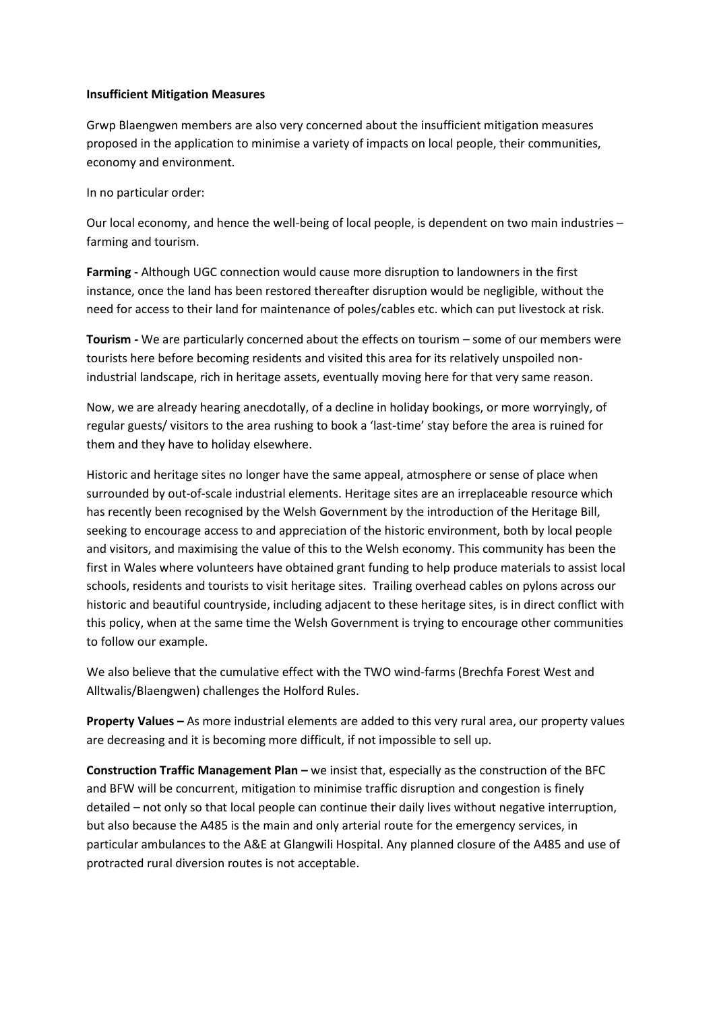#### **Insufficient Mitigation Measures**

Grwp Blaengwen members are also very concerned about the insufficient mitigation measures proposed in the application to minimise a variety of impacts on local people, their communities, economy and environment.

In no particular order:

Our local economy, and hence the well-being of local people, is dependent on two main industries – farming and tourism.

**Farming -** Although UGC connection would cause more disruption to landowners in the first instance, once the land has been restored thereafter disruption would be negligible, without the need for access to their land for maintenance of poles/cables etc. which can put livestock at risk.

**Tourism -** We are particularly concerned about the effects on tourism – some of our members were tourists here before becoming residents and visited this area for its relatively unspoiled nonindustrial landscape, rich in heritage assets, eventually moving here for that very same reason.

Now, we are already hearing anecdotally, of a decline in holiday bookings, or more worryingly, of regular guests/ visitors to the area rushing to book a 'last-time' stay before the area is ruined for them and they have to holiday elsewhere.

Historic and heritage sites no longer have the same appeal, atmosphere or sense of place when surrounded by out-of-scale industrial elements. Heritage sites are an irreplaceable resource which has recently been recognised by the Welsh Government by the introduction of the Heritage Bill, seeking to encourage access to and appreciation of the historic environment, both by local people and visitors, and maximising the value of this to the Welsh economy. This community has been the first in Wales where volunteers have obtained grant funding to help produce materials to assist local schools, residents and tourists to visit heritage sites. Trailing overhead cables on pylons across our historic and beautiful countryside, including adjacent to these heritage sites, is in direct conflict with this policy, when at the same time the Welsh Government is trying to encourage other communities to follow our example.

We also believe that the cumulative effect with the TWO wind-farms (Brechfa Forest West and Alltwalis/Blaengwen) challenges the Holford Rules.

**Property Values –** As more industrial elements are added to this very rural area, our property values are decreasing and it is becoming more difficult, if not impossible to sell up.

**Construction Traffic Management Plan –** we insist that, especially as the construction of the BFC and BFW will be concurrent, mitigation to minimise traffic disruption and congestion is finely detailed – not only so that local people can continue their daily lives without negative interruption, but also because the A485 is the main and only arterial route for the emergency services, in particular ambulances to the A&E at Glangwili Hospital. Any planned closure of the A485 and use of protracted rural diversion routes is not acceptable.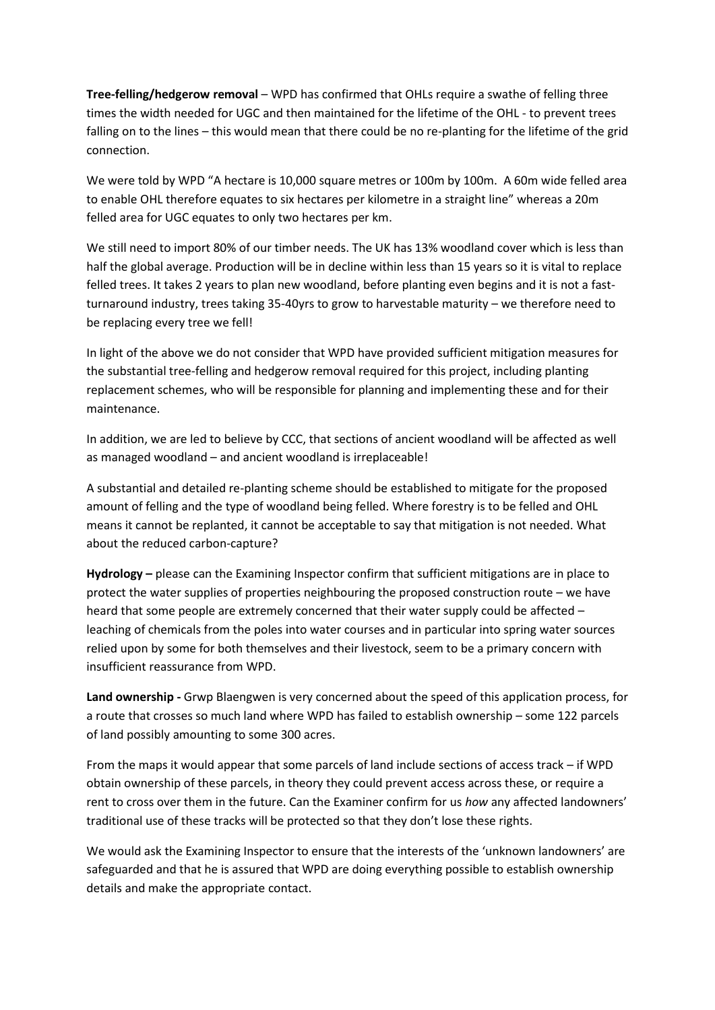**Tree-felling/hedgerow removal** – WPD has confirmed that OHLs require a swathe of felling three times the width needed for UGC and then maintained for the lifetime of the OHL - to prevent trees falling on to the lines – this would mean that there could be no re-planting for the lifetime of the grid connection.

We were told by WPD "A hectare is 10,000 square metres or 100m by 100m. A 60m wide felled area to enable OHL therefore equates to six hectares per kilometre in a straight line" whereas a 20m felled area for UGC equates to only two hectares per km.

We still need to import 80% of our timber needs. The UK has 13% woodland cover which is less than half the global average. Production will be in decline within less than 15 years so it is vital to replace felled trees. It takes 2 years to plan new woodland, before planting even begins and it is not a fastturnaround industry, trees taking 35-40yrs to grow to harvestable maturity – we therefore need to be replacing every tree we fell!

In light of the above we do not consider that WPD have provided sufficient mitigation measures for the substantial tree-felling and hedgerow removal required for this project, including planting replacement schemes, who will be responsible for planning and implementing these and for their maintenance.

In addition, we are led to believe by CCC, that sections of ancient woodland will be affected as well as managed woodland – and ancient woodland is irreplaceable!

A substantial and detailed re-planting scheme should be established to mitigate for the proposed amount of felling and the type of woodland being felled. Where forestry is to be felled and OHL means it cannot be replanted, it cannot be acceptable to say that mitigation is not needed. What about the reduced carbon-capture?

**Hydrology –** please can the Examining Inspector confirm that sufficient mitigations are in place to protect the water supplies of properties neighbouring the proposed construction route – we have heard that some people are extremely concerned that their water supply could be affected – leaching of chemicals from the poles into water courses and in particular into spring water sources relied upon by some for both themselves and their livestock, seem to be a primary concern with insufficient reassurance from WPD.

**Land ownership -** Grwp Blaengwen is very concerned about the speed of this application process, for a route that crosses so much land where WPD has failed to establish ownership – some 122 parcels of land possibly amounting to some 300 acres.

From the maps it would appear that some parcels of land include sections of access track – if WPD obtain ownership of these parcels, in theory they could prevent access across these, or require a rent to cross over them in the future. Can the Examiner confirm for us *how* any affected landowners' traditional use of these tracks will be protected so that they don't lose these rights.

We would ask the Examining Inspector to ensure that the interests of the 'unknown landowners' are safeguarded and that he is assured that WPD are doing everything possible to establish ownership details and make the appropriate contact.